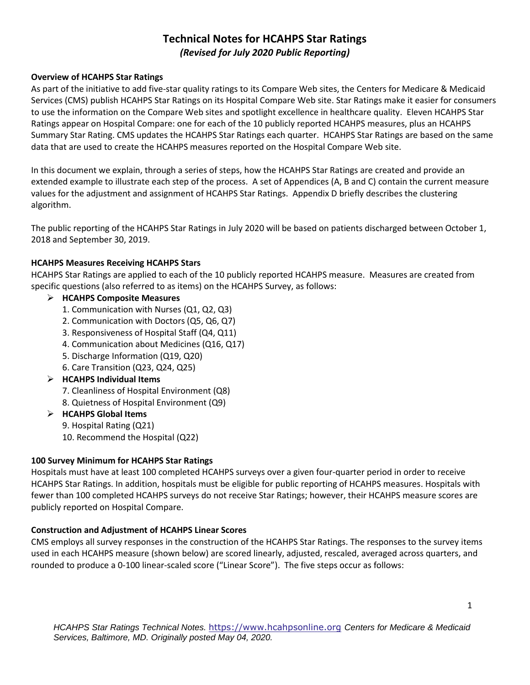# **Technical Notes for HCAHPS Star Ratings** *(Revised for July 2020 Public Reporting)*

### **Overview of HCAHPS Star Ratings**

As part of the initiative to add five-star quality ratings to its Compare Web sites, the Centers for Medicare & Medicaid Services (CMS) publish HCAHPS Star Ratings on its Hospital Compare Web site. Star Ratings make it easier for consumers to use the information on the Compare Web sites and spotlight excellence in healthcare quality. Eleven HCAHPS Star Ratings appear on Hospital Compare: one for each of the 10 publicly reported HCAHPS measures, plus an HCAHPS Summary Star Rating. CMS updates the HCAHPS Star Ratings each quarter. HCAHPS Star Ratings are based on the same data that are used to create the HCAHPS measures reported on the Hospital Compare Web site.

In this document we explain, through a series of steps, how the HCAHPS Star Ratings are created and provide an extended example to illustrate each step of the process. A set of Appendices (A, B and C) contain the current measure values for the adjustment and assignment of HCAHPS Star Ratings. Appendix D briefly describes the clustering algorithm.

The public reporting of the HCAHPS Star Ratings in July 2020 will be based on patients discharged between October 1, 2018 and September 30, 2019.

### **HCAHPS Measures Receiving HCAHPS Stars**

HCAHPS Star Ratings are applied to each of the 10 publicly reported HCAHPS measure. Measures are created from specific questions (also referred to as items) on the HCAHPS Survey, as follows:

### ➢ **HCAHPS Composite Measures**

- 1. Communication with Nurses (Q1, Q2, Q3)
- 2. Communication with Doctors (Q5, Q6, Q7)
- 3. Responsiveness of Hospital Staff (Q4, Q11)
- 4. Communication about Medicines (Q16, Q17)
- 5. Discharge Information (Q19, Q20)
- 6. Care Transition (Q23, Q24, Q25)
- ➢ **HCAHPS Individual Items** 
	- 7. Cleanliness of Hospital Environment (Q8)
	- 8. Quietness of Hospital Environment (Q9)
- ➢ **HCAHPS Global Items** 
	- 9. Hospital Rating (Q21)
	- 10. Recommend the Hospital (Q22)

### **100 Survey Minimum for HCAHPS Star Ratings**

Hospitals must have at least 100 completed HCAHPS surveys over a given four-quarter period in order to receive HCAHPS Star Ratings. In addition, hospitals must be eligible for public reporting of HCAHPS measures. Hospitals with fewer than 100 completed HCAHPS surveys do not receive Star Ratings; however, their HCAHPS measure scores are publicly reported on Hospital Compare.

### **Construction and Adjustment of HCAHPS Linear Scores**

CMS employs all survey responses in the construction of the HCAHPS Star Ratings. The responses to the survey items used in each HCAHPS measure (shown below) are scored linearly, adjusted, rescaled, averaged across quarters, and rounded to produce a 0-100 linear-scaled score ("Linear Score"). The five steps occur as follows: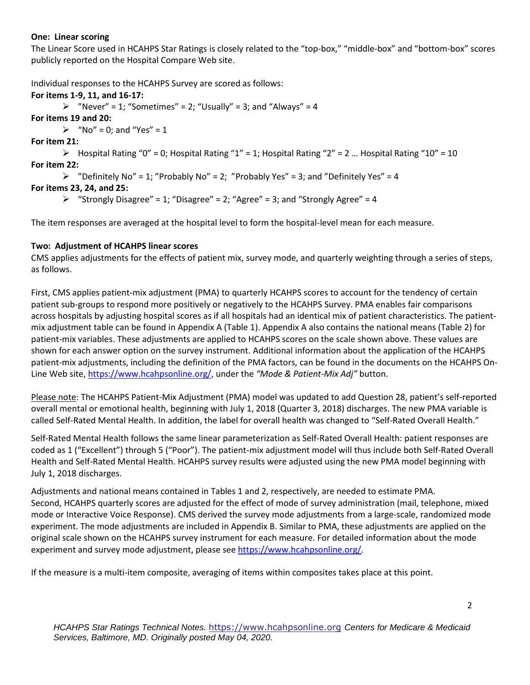### **One: Linear scoring**

The Linear Score used in HCAHPS Star Ratings is closely related to the "top-box," "middle-box" and "bottom-box" scores publicly reported on the Hospital Compare Web site.

Individual responses to the HCAHPS Survey are scored as follows:

**For items 1-9, 11, and 16-17:**  $\triangleright$  "Never" = 1; "Sometimes" = 2; "Usually" = 3; and "Always" = 4 **For items 19 and 20:**  $\triangleright$  "No" = 0; and "Yes" = 1 **For item 21:**  $\triangleright$  Hospital Rating "0" = 0; Hospital Rating "1" = 1; Hospital Rating "2" = 2 ... Hospital Rating "10" = 10 **For item 22:**  $\triangleright$  "Definitely No" = 1; "Probably No" = 2; "Probably Yes" = 3; and "Definitely Yes" = 4 **For items 23, 24, and 25:**  $\triangleright$  "Strongly Disagree" = 1; "Disagree" = 2; "Agree" = 3; and "Strongly Agree" = 4

The item responses are averaged at the hospital level to form the hospital-level mean for each measure.

## **Two: Adjustment of HCAHPS linear scores**

CMS applies adjustments for the effects of patient mix, survey mode, and quarterly weighting through a series of steps, as follows.

First, CMS applies patient-mix adjustment (PMA) to quarterly HCAHPS scores to account for the tendency of certain patient sub-groups to respond more positively or negatively to the HCAHPS Survey. PMA enables fair comparisons across hospitals by adjusting hospital scores as if all hospitals had an identical mix of patient characteristics. The patientmix adjustment table can be found in Appendix A (Table 1). Appendix A also contains the national means (Table 2) for patient-mix variables. These adjustments are applied to HCAHPS scores on the scale shown above. These values are shown for each answer option on the survey instrument. Additional information about the application of the HCAHPS patient-mix adjustments, including the definition of the PMA factors, can be found in the documents on the HCAHPS On-Line Web site[, https://www.hcahpsonline.org/,](https://www.hcahpsonline.org/) under the *"Mode & Patient-Mix Adj"* button.

Please note: The HCAHPS Patient-Mix Adjustment (PMA) model was updated to add Question 28, patient's self-reported overall mental or emotional health, beginning with July 1, 2018 (Quarter 3, 2018) discharges. The new PMA variable is called Self-Rated Mental Health. In addition, the label for overall health was changed to "Self-Rated Overall Health."

Self-Rated Mental Health follows the same linear parameterization as Self-Rated Overall Health: patient responses are coded as 1 ("Excellent") through 5 ("Poor"). The patient-mix adjustment model will thus include both Self-Rated Overall Health and Self-Rated Mental Health. HCAHPS survey results were adjusted using the new PMA model beginning with July 1, 2018 discharges.

Adjustments and national means contained in Tables 1 and 2, respectively, are needed to estimate PMA. Second, HCAHPS quarterly scores are adjusted for the effect of mode of survey administration (mail, telephone, mixed mode or Interactive Voice Response). CMS derived the survey mode adjustments from a large-scale, randomized mode experiment. The mode adjustments are included in Appendix B. Similar to PMA, these adjustments are applied on the original scale shown on the HCAHPS survey instrument for each measure. For detailed information about the mode experiment and survey mode adjustment, please see [https://www.hcahpsonline.org/.](https://www.hcahpsonline.org/)

If the measure is a multi-item composite, averaging of items within composites takes place at this point.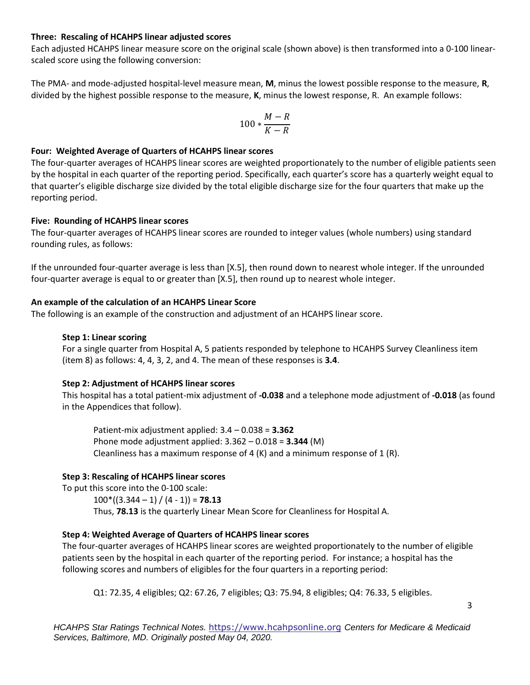#### **Three: Rescaling of HCAHPS linear adjusted scores**

Each adjusted HCAHPS linear measure score on the original scale (shown above) is then transformed into a 0-100 linearscaled score using the following conversion:

The PMA- and mode-adjusted hospital-level measure mean, **M**, minus the lowest possible response to the measure, **R**, divided by the highest possible response to the measure, **K**, minus the lowest response, R. An example follows:

$$
100*\frac{M-R}{K-R}
$$

### **Four: Weighted Average of Quarters of HCAHPS linear scores**

The four-quarter averages of HCAHPS linear scores are weighted proportionately to the number of eligible patients seen by the hospital in each quarter of the reporting period. Specifically, each quarter's score has a quarterly weight equal to that quarter's eligible discharge size divided by the total eligible discharge size for the four quarters that make up the reporting period.

### **Five: Rounding of HCAHPS linear scores**

The four-quarter averages of HCAHPS linear scores are rounded to integer values (whole numbers) using standard rounding rules, as follows:

If the unrounded four-quarter average is less than [X.5], then round down to nearest whole integer. If the unrounded four-quarter average is equal to or greater than [X.5], then round up to nearest whole integer.

### **An example of the calculation of an HCAHPS Linear Score**

The following is an example of the construction and adjustment of an HCAHPS linear score.

### **Step 1: Linear scoring**

For a single quarter from Hospital A, 5 patients responded by telephone to HCAHPS Survey Cleanliness item (item 8) as follows: 4, 4, 3, 2, and 4. The mean of these responses is **3.4**.

### **Step 2: Adjustment of HCAHPS linear scores**

This hospital has a total patient-mix adjustment of **-0.038** and a telephone mode adjustment of **-0.018** (as found in the Appendices that follow).

Patient-mix adjustment applied: 3.4 – 0.038 = **3.362** Phone mode adjustment applied: 3.362 – 0.018 = **3.344** (M) Cleanliness has a maximum response of 4 (K) and a minimum response of 1 (R).

### **Step 3: Rescaling of HCAHPS linear scores**

To put this score into the 0-100 scale:  $100*(3.344 - 1) / (4 - 1)$  = **78.13** Thus, **78.13** is the quarterly Linear Mean Score for Cleanliness for Hospital A.

### **Step 4: Weighted Average of Quarters of HCAHPS linear scores**

The four-quarter averages of HCAHPS linear scores are weighted proportionately to the number of eligible patients seen by the hospital in each quarter of the reporting period. For instance; a hospital has the following scores and numbers of eligibles for the four quarters in a reporting period:

Q1: 72.35, 4 eligibles; Q2: 67.26, 7 eligibles; Q3: 75.94, 8 eligibles; Q4: 76.33, 5 eligibles.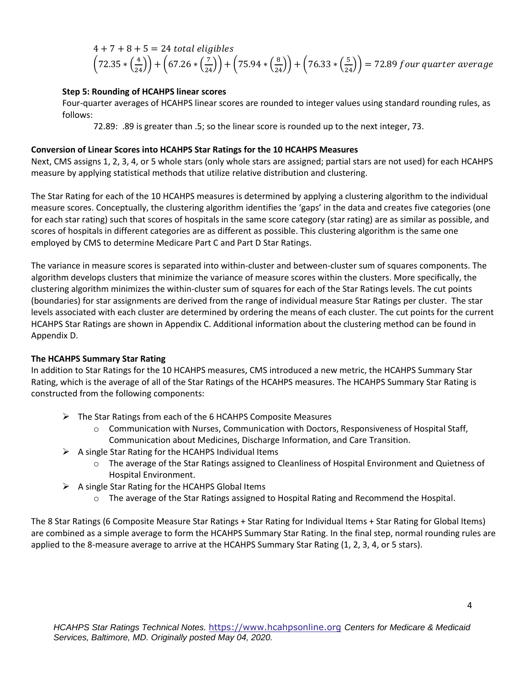$$
4 + 7 + 8 + 5 = 24
$$
 total eligibles  
 $(72.35 * (\frac{4}{24})) + (67.26 * (\frac{7}{24})) + (75.94 * (\frac{8}{24})) + (76.33 * (\frac{5}{24})) = 72.89$  four quarter average

### **Step 5: Rounding of HCAHPS linear scores**

Four-quarter averages of HCAHPS linear scores are rounded to integer values using standard rounding rules, as follows:

72.89: .89 is greater than .5; so the linear score is rounded up to the next integer, 73.

#### **Conversion of Linear Scores into HCAHPS Star Ratings for the 10 HCAHPS Measures**

Next, CMS assigns 1, 2, 3, 4, or 5 whole stars (only whole stars are assigned; partial stars are not used) for each HCAHPS measure by applying statistical methods that utilize relative distribution and clustering.

The Star Rating for each of the 10 HCAHPS measures is determined by applying a clustering algorithm to the individual measure scores. Conceptually, the clustering algorithm identifies the 'gaps' in the data and creates five categories (one for each star rating) such that scores of hospitals in the same score category (star rating) are as similar as possible, and scores of hospitals in different categories are as different as possible. This clustering algorithm is the same one employed by CMS to determine Medicare Part C and Part D Star Ratings.

The variance in measure scores is separated into within-cluster and between-cluster sum of squares components. The algorithm develops clusters that minimize the variance of measure scores within the clusters. More specifically, the clustering algorithm minimizes the within-cluster sum of squares for each of the Star Ratings levels. The cut points (boundaries) for star assignments are derived from the range of individual measure Star Ratings per cluster. The star levels associated with each cluster are determined by ordering the means of each cluster. The cut points for the current HCAHPS Star Ratings are shown in Appendix C. Additional information about the clustering method can be found in Appendix D.

#### **The HCAHPS Summary Star Rating**

In addition to Star Ratings for the 10 HCAHPS measures, CMS introduced a new metric, the HCAHPS Summary Star Rating, which is the average of all of the Star Ratings of the HCAHPS measures. The HCAHPS Summary Star Rating is constructed from the following components:

- $\triangleright$  The Star Ratings from each of the 6 HCAHPS Composite Measures
	- $\circ$  Communication with Nurses, Communication with Doctors, Responsiveness of Hospital Staff, Communication about Medicines, Discharge Information, and Care Transition.
- $\triangleright$  A single Star Rating for the HCAHPS Individual Items
	- o The average of the Star Ratings assigned to Cleanliness of Hospital Environment and Quietness of Hospital Environment.
- $\triangleright$  A single Star Rating for the HCAHPS Global Items
	- o The average of the Star Ratings assigned to Hospital Rating and Recommend the Hospital.

The 8 Star Ratings (6 Composite Measure Star Ratings + Star Rating for Individual Items + Star Rating for Global Items) are combined as a simple average to form the HCAHPS Summary Star Rating. In the final step, normal rounding rules are applied to the 8-measure average to arrive at the HCAHPS Summary Star Rating (1, 2, 3, 4, or 5 stars).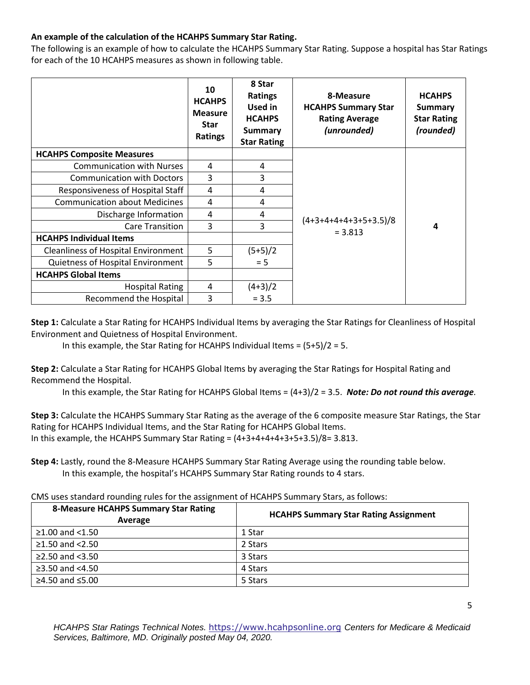## **An example of the calculation of the HCAHPS Summary Star Rating.**

The following is an example of how to calculate the HCAHPS Summary Star Rating. Suppose a hospital has Star Ratings for each of the 10 HCAHPS measures as shown in following table.

|                                            | 10<br><b>HCAHPS</b><br><b>Measure</b><br><b>Star</b><br><b>Ratings</b> | 8 Star<br><b>Ratings</b><br>Used in<br><b>HCAHPS</b><br><b>Summary</b><br><b>Star Rating</b> | 8-Measure<br><b>HCAHPS Summary Star</b><br><b>Rating Average</b><br>(unrounded) | <b>HCAHPS</b><br>Summary<br><b>Star Rating</b><br>(rounded) |  |
|--------------------------------------------|------------------------------------------------------------------------|----------------------------------------------------------------------------------------------|---------------------------------------------------------------------------------|-------------------------------------------------------------|--|
| <b>HCAHPS Composite Measures</b>           |                                                                        |                                                                                              |                                                                                 |                                                             |  |
| <b>Communication with Nurses</b>           | 4                                                                      | 4                                                                                            |                                                                                 | 4                                                           |  |
| <b>Communication with Doctors</b>          | 3                                                                      | 3                                                                                            |                                                                                 |                                                             |  |
| Responsiveness of Hospital Staff           | 4                                                                      | 4                                                                                            |                                                                                 |                                                             |  |
| <b>Communication about Medicines</b>       | 4                                                                      | 4                                                                                            |                                                                                 |                                                             |  |
| Discharge Information                      | 4                                                                      | 4                                                                                            |                                                                                 |                                                             |  |
| Care Transition                            | 3                                                                      | 3                                                                                            | $(4+3+4+4+4+3+5+3.5)/8$<br>$= 3.813$                                            |                                                             |  |
| <b>HCAHPS Individual Items</b>             |                                                                        |                                                                                              |                                                                                 |                                                             |  |
| <b>Cleanliness of Hospital Environment</b> | 5                                                                      | $(5+5)/2$                                                                                    |                                                                                 |                                                             |  |
| Quietness of Hospital Environment          | 5                                                                      | $= 5$                                                                                        |                                                                                 |                                                             |  |
| <b>HCAHPS Global Items</b>                 |                                                                        |                                                                                              |                                                                                 |                                                             |  |
| <b>Hospital Rating</b>                     | 4                                                                      | $(4+3)/2$                                                                                    |                                                                                 |                                                             |  |
| Recommend the Hospital                     | 3                                                                      | $= 3.5$                                                                                      |                                                                                 |                                                             |  |

**Step 1:** Calculate a Star Rating for HCAHPS Individual Items by averaging the Star Ratings for Cleanliness of Hospital Environment and Quietness of Hospital Environment.

In this example, the Star Rating for HCAHPS Individual Items = (5+5)/2 = 5.

**Step 2:** Calculate a Star Rating for HCAHPS Global Items by averaging the Star Ratings for Hospital Rating and Recommend the Hospital.

In this example, the Star Rating for HCAHPS Global Items = (4+3)/2 = 3.5. *Note: Do not round this average.*

**Step 3:** Calculate the HCAHPS Summary Star Rating as the average of the 6 composite measure Star Ratings, the Star Rating for HCAHPS Individual Items, and the Star Rating for HCAHPS Global Items. In this example, the HCAHPS Summary Star Rating =  $(4+3+4+4+3+5+3.5)/8=3.813$ .

**Step 4:** Lastly, round the 8-Measure HCAHPS Summary Star Rating Average using the rounding table below. In this example, the hospital's HCAHPS Summary Star Rating rounds to 4 stars.

CMS uses standard rounding rules for the assignment of HCAHPS Summary Stars, as follows:

| <b>8-Measure HCAHPS Summary Star Rating</b><br>Average | <b>HCAHPS Summary Star Rating Assignment</b> |  |  |  |
|--------------------------------------------------------|----------------------------------------------|--|--|--|
| $≥1.00$ and <1.50                                      | 1 Star                                       |  |  |  |
| $\geq$ 1.50 and <2.50                                  | 2 Stars                                      |  |  |  |
| ≥2.50 and $<3.50$                                      | 3 Stars                                      |  |  |  |
| ≥3.50 and $<4.50$                                      | 4 Stars                                      |  |  |  |
| ≥4.50 and $≤5.00$                                      | 5 Stars                                      |  |  |  |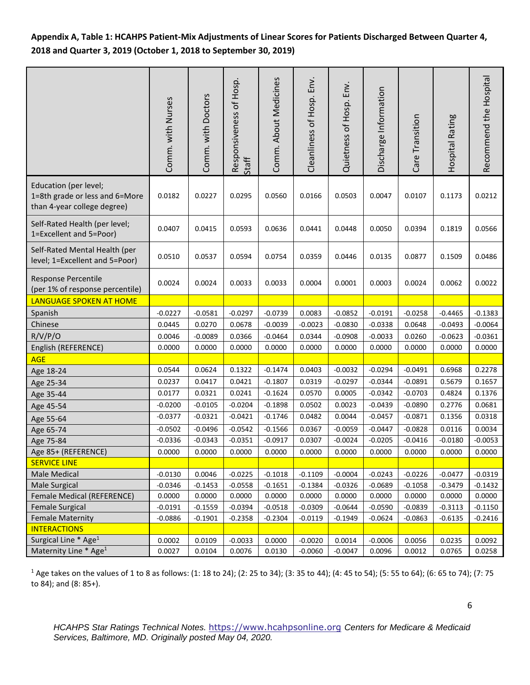# **Appendix A, Table 1: HCAHPS Patient-Mix Adjustments of Linear Scores for Patients Discharged Between Quarter 4, 2018 and Quarter 3, 2019 (October 1, 2018 to September 30, 2019)**

|                                                                                        | Comm. with Nurses | Comm. with Doctors | Responsiveness of Hosp.<br>Staff | Comm. About Medicines | Env.<br>Cleanliness of Hosp. | Quietness of Hosp. Env. | Discharge Information | Care Transition | Hospital Rating | Recommend the Hospital |
|----------------------------------------------------------------------------------------|-------------------|--------------------|----------------------------------|-----------------------|------------------------------|-------------------------|-----------------------|-----------------|-----------------|------------------------|
| Education (per level;<br>1=8th grade or less and 6=More<br>than 4-year college degree) | 0.0182            | 0.0227             | 0.0295                           | 0.0560                | 0.0166                       | 0.0503                  | 0.0047                | 0.0107          | 0.1173          | 0.0212                 |
| Self-Rated Health (per level;<br>1=Excellent and 5=Poor)                               | 0.0407            | 0.0415             | 0.0593                           | 0.0636                | 0.0441                       | 0.0448                  | 0.0050                | 0.0394          | 0.1819          | 0.0566                 |
| Self-Rated Mental Health (per<br>level; 1=Excellent and 5=Poor)                        | 0.0510            | 0.0537             | 0.0594                           | 0.0754                | 0.0359                       | 0.0446                  | 0.0135                | 0.0877          | 0.1509          | 0.0486                 |
| Response Percentile<br>(per 1% of response percentile)                                 | 0.0024            | 0.0024             | 0.0033                           | 0.0033                | 0.0004                       | 0.0001                  | 0.0003                | 0.0024          | 0.0062          | 0.0022                 |
| LANGUAGE SPOKEN AT HOME                                                                |                   |                    |                                  |                       |                              |                         |                       |                 |                 |                        |
| Spanish                                                                                | $-0.0227$         | $-0.0581$          | $-0.0297$                        | $-0.0739$             | 0.0083                       | $-0.0852$               | $-0.0191$             | $-0.0258$       | $-0.4465$       | $-0.1383$              |
| Chinese                                                                                | 0.0445            | 0.0270             | 0.0678                           | $-0.0039$             | $-0.0023$                    | $-0.0830$               | $-0.0338$             | 0.0648          | $-0.0493$       | $-0.0064$              |
| R/V/P/O                                                                                | 0.0046            | $-0.0089$          | 0.0366                           | $-0.0464$             | 0.0344                       | $-0.0908$               | $-0.0033$             | 0.0260          | $-0.0623$       | $-0.0361$              |
| English (REFERENCE)                                                                    | 0.0000            | 0.0000             | 0.0000                           | 0.0000                | 0.0000                       | 0.0000                  | 0.0000                | 0.0000          | 0.0000          | 0.0000                 |
| <b>AGE</b>                                                                             |                   |                    |                                  |                       |                              |                         |                       |                 |                 |                        |
| Age 18-24                                                                              | 0.0544            | 0.0624             | 0.1322                           | $-0.1474$             | 0.0403                       | $-0.0032$               | $-0.0294$             | $-0.0491$       | 0.6968          | 0.2278                 |
| Age 25-34                                                                              | 0.0237            | 0.0417             | 0.0421                           | $-0.1807$             | 0.0319                       | $-0.0297$               | $-0.0344$             | $-0.0891$       | 0.5679          | 0.1657                 |
| Age 35-44                                                                              | 0.0177            | 0.0321             | 0.0241                           | $-0.1624$             | 0.0570                       | 0.0005                  | $-0.0342$             | $-0.0703$       | 0.4824          | 0.1376                 |
| Age 45-54                                                                              | $-0.0200$         | $-0.0105$          | $-0.0204$                        | $-0.1898$             | 0.0502                       | 0.0023                  | $-0.0439$             | $-0.0890$       | 0.2776          | 0.0681                 |
| Age 55-64                                                                              | $-0.0377$         | $-0.0321$          | $-0.0421$                        | $-0.1746$             | 0.0482                       | 0.0044                  | $-0.0457$             | $-0.0871$       | 0.1356          | 0.0318                 |
| Age 65-74                                                                              | $-0.0502$         | $-0.0496$          | $-0.0542$                        | $-0.1566$             | 0.0367                       | $-0.0059$               | $-0.0447$             | $-0.0828$       | 0.0116          | 0.0034                 |
| Age 75-84                                                                              | $-0.0336$         | $-0.0343$          | $-0.0351$                        | $-0.0917$             | 0.0307                       | $-0.0024$               | $-0.0205$             | $-0.0416$       | $-0.0180$       | $-0.0053$              |
| Age 85+ (REFERENCE)                                                                    | 0.0000            | 0.0000             | 0.0000                           | 0.0000                | 0.0000                       | 0.0000                  | 0.0000                | 0.0000          | 0.0000          | 0.0000                 |
| <b>SERVICE LINE</b>                                                                    |                   |                    |                                  |                       |                              |                         |                       |                 |                 |                        |
| Male Medical                                                                           | $-0.0130$         | 0.0046             | $-0.0225$                        | $-0.1018$             | $-0.1109$                    | $-0.0004$               | $-0.0243$             | $-0.0226$       | $-0.0477$       | $-0.0319$              |
| <b>Male Surgical</b>                                                                   | $-0.0346$         | $-0.1453$          | $-0.0558$                        | $-0.1651$             | $-0.1384$                    | $-0.0326$               | $-0.0689$             | $-0.1058$       | $-0.3479$       | $-0.1432$              |
| Female Medical (REFERENCE)                                                             | 0.0000            | 0.0000             | 0.0000                           | 0.0000                | 0.0000                       | 0.0000                  | 0.0000                | 0.0000          | 0.0000          | 0.0000                 |
| <b>Female Surgical</b>                                                                 | $-0.0191$         | $-0.1559$          | $-0.0394$                        | $-0.0518$             | $-0.0309$                    | $-0.0644$               | $-0.0590$             | $-0.0839$       | $-0.3113$       | $-0.1150$              |
| <b>Female Maternity</b>                                                                | $-0.0886$         | $-0.1901$          | $-0.2358$                        | $-0.2304$             | $-0.0119$                    | $-0.1949$               | $-0.0624$             | $-0.0863$       | $-0.6135$       | $-0.2416$              |
| <b>INTERACTIONS</b>                                                                    |                   |                    |                                  |                       |                              |                         |                       |                 |                 |                        |
| Surgical Line * Age <sup>1</sup>                                                       | 0.0002            | 0.0109             | $-0.0033$                        | 0.0000                | $-0.0020$                    | 0.0014                  | $-0.0006$             | 0.0056          | 0.0235          | 0.0092                 |
| Maternity Line * Age <sup>1</sup>                                                      | 0.0027            | 0.0104             | 0.0076                           | 0.0130                | $-0.0060$                    | $-0.0047$               | 0.0096                | 0.0012          | 0.0765          | 0.0258                 |

<sup>1</sup> Age takes on the values of 1 to 8 as follows: (1: 18 to 24); (2: 25 to 34); (3: 35 to 44); (4: 45 to 54); (5: 55 to 64); (6: 65 to 74); (7: 75 to 84); and (8: 85+).

*HCAHPS Star Ratings Technical Notes.* [https://www.hcahpsonline.org](https://www.hcahpsonline.org/) *Centers for Medicare & Medicaid Services, Baltimore, MD. Originally posted May 04, 2020.*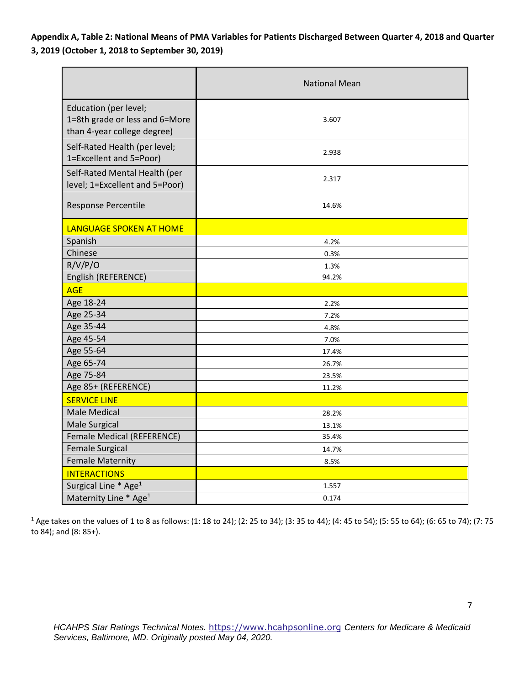**Appendix A, Table 2: National Means of PMA Variables for Patients Discharged Between Quarter 4, 2018 and Quarter 3, 2019 (October 1, 2018 to September 30, 2019)** 

|                                                                                        | <b>National Mean</b> |  |  |  |
|----------------------------------------------------------------------------------------|----------------------|--|--|--|
| Education (per level;<br>1=8th grade or less and 6=More<br>than 4-year college degree) | 3.607                |  |  |  |
| Self-Rated Health (per level;<br>1=Excellent and 5=Poor)                               | 2.938                |  |  |  |
| Self-Rated Mental Health (per<br>level; 1=Excellent and 5=Poor)                        | 2.317                |  |  |  |
| <b>Response Percentile</b>                                                             | 14.6%                |  |  |  |
| LANGUAGE SPOKEN AT HOME                                                                |                      |  |  |  |
| Spanish                                                                                | 4.2%                 |  |  |  |
| Chinese                                                                                | 0.3%                 |  |  |  |
| R/V/P/O                                                                                | 1.3%                 |  |  |  |
| English (REFERENCE)                                                                    | 94.2%                |  |  |  |
| <b>AGE</b>                                                                             |                      |  |  |  |
| Age 18-24                                                                              | 2.2%                 |  |  |  |
| Age 25-34                                                                              | 7.2%                 |  |  |  |
| Age 35-44                                                                              | 4.8%                 |  |  |  |
| Age 45-54                                                                              | 7.0%                 |  |  |  |
| Age 55-64                                                                              | 17.4%                |  |  |  |
| Age 65-74                                                                              | 26.7%                |  |  |  |
| Age 75-84                                                                              | 23.5%                |  |  |  |
| Age 85+ (REFERENCE)                                                                    | 11.2%                |  |  |  |
| <b>SERVICE LINE</b>                                                                    |                      |  |  |  |
| <b>Male Medical</b>                                                                    | 28.2%                |  |  |  |
| <b>Male Surgical</b>                                                                   | 13.1%                |  |  |  |
| Female Medical (REFERENCE)                                                             | 35.4%                |  |  |  |
| <b>Female Surgical</b>                                                                 | 14.7%                |  |  |  |
| <b>Female Maternity</b>                                                                | 8.5%                 |  |  |  |
| <b>INTERACTIONS</b>                                                                    |                      |  |  |  |
| Surgical Line * Age <sup>1</sup>                                                       | 1.557                |  |  |  |
| Maternity Line * Age <sup>1</sup>                                                      | 0.174                |  |  |  |

<sup>1</sup> Age takes on the values of 1 to 8 as follows: (1: 18 to 24); (2: 25 to 34); (3: 35 to 44); (4: 45 to 54); (5: 55 to 64); (6: 65 to 74); (7: 75 to 84); and (8: 85+).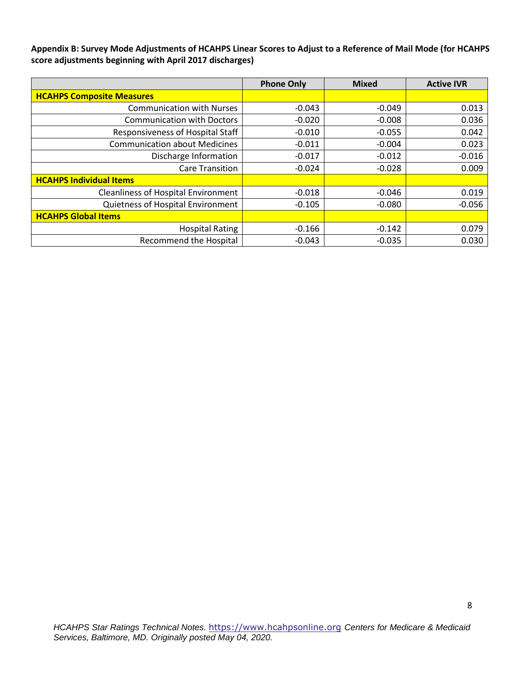**Appendix B: Survey Mode Adjustments of HCAHPS Linear Scores to Adjust to a Reference of Mail Mode (for HCAHPS score adjustments beginning with April 2017 discharges)**

|                                            | <b>Phone Only</b> | <b>Mixed</b> | <b>Active IVR</b> |
|--------------------------------------------|-------------------|--------------|-------------------|
| <b>HCAHPS Composite Measures</b>           |                   |              |                   |
| <b>Communication with Nurses</b>           | $-0.043$          | $-0.049$     | 0.013             |
| <b>Communication with Doctors</b>          | $-0.020$          | $-0.008$     | 0.036             |
| Responsiveness of Hospital Staff           | $-0.010$          | $-0.055$     | 0.042             |
| <b>Communication about Medicines</b>       | $-0.011$          | $-0.004$     | 0.023             |
| Discharge Information                      | $-0.017$          | $-0.012$     | $-0.016$          |
| <b>Care Transition</b>                     | $-0.024$          | $-0.028$     | 0.009             |
| <b>HCAHPS Individual Items</b>             |                   |              |                   |
| <b>Cleanliness of Hospital Environment</b> | $-0.018$          | $-0.046$     | 0.019             |
| Quietness of Hospital Environment          | $-0.105$          | $-0.080$     | $-0.056$          |
| <b>HCAHPS Global Items</b>                 |                   |              |                   |
| <b>Hospital Rating</b>                     | $-0.166$          | $-0.142$     | 0.079             |
| <b>Recommend the Hospital</b>              | $-0.043$          | $-0.035$     | 0.030             |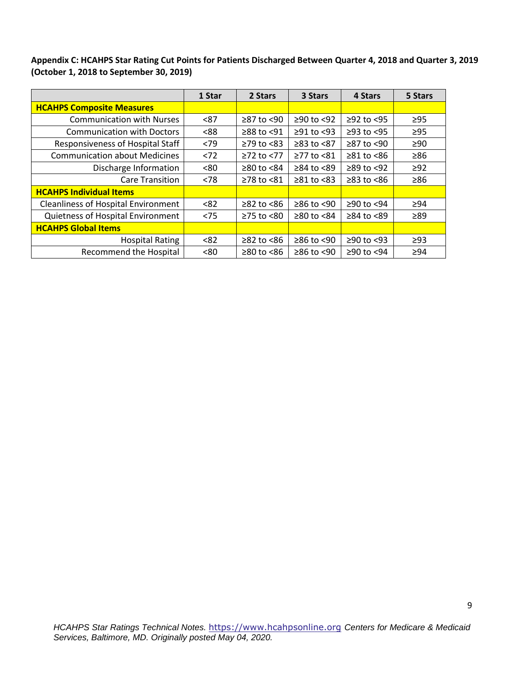**Appendix C: HCAHPS Star Rating Cut Points for Patients Discharged Between Quarter 4, 2018 and Quarter 3, 2019 (October 1, 2018 to September 30, 2019)**

|                                            | 1 Star | 2 Stars          | 3 Stars          | 4 Stars                | 5 Stars   |
|--------------------------------------------|--------|------------------|------------------|------------------------|-----------|
| <b>HCAHPS Composite Measures</b>           |        |                  |                  |                        |           |
| <b>Communication with Nurses</b>           | < 87   | $\geq$ 87 to <90 | $≥90$ to <92     | $≥92$ to $<95$         | $\geq$ 95 |
| <b>Communication with Doctors</b>          | <88    | ≥88 to <91       | $\geq$ 91 to <93 | $≥93$ to $<95$         | $\geq$ 95 |
| Responsiveness of Hospital Staff           | < 79   | $\geq$ 79 to <83 | $\geq$ 83 to <87 | ≥87 to <90             | $\geq 90$ |
| <b>Communication about Medicines</b>       | < 72   | $\geq$ 72 to <77 | $≥77$ to $≤81$   | $\geq 81$ to $\leq 86$ | $\geq 86$ |
| Discharge Information                      | < 80   | $\geq$ 80 to <84 | ≥84 to <89       | $\geq$ 89 to <92       | $\geq 92$ |
| <b>Care Transition</b>                     | < 78   | ≥78 to <81       | $\geq 81$ to <83 | $\geq$ 83 to <86       | $\geq 86$ |
| <b>HCAHPS Individual Items</b>             |        |                  |                  |                        |           |
| <b>Cleanliness of Hospital Environment</b> | < 82   | $\geq$ 82 to <86 | $≥86$ to <90     | ≥90 to <94             | $\geq$ 94 |
| Quietness of Hospital Environment          | < 75   | $≥75$ to $< 80$  | $≥80$ to <84     | $\geq$ 84 to <89       | $\geq 89$ |
| <b>HCAHPS Global Items</b>                 |        |                  |                  |                        |           |
| <b>Hospital Rating</b>                     | < 82   | $\geq$ 82 to <86 | $≥86$ to <90     | ≥90 to <93             | $\geq$ 93 |
| Recommend the Hospital                     | <80    | $\geq$ 80 to <86 | $≥86$ to <90     | ≥90 to <94             | $\geq$ 94 |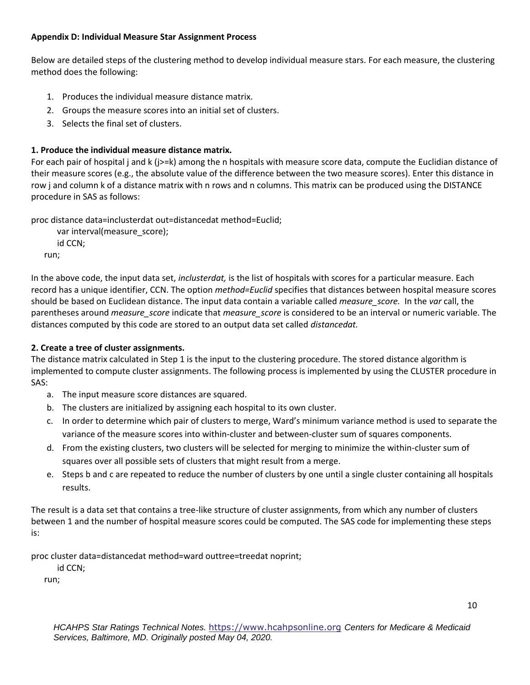### **Appendix D: Individual Measure Star Assignment Process**

Below are detailed steps of the clustering method to develop individual measure stars. For each measure, the clustering method does the following:

- 1. Produces the individual measure distance matrix.
- 2. Groups the measure scores into an initial set of clusters.
- 3. Selects the final set of clusters.

# **1. Produce the individual measure distance matrix.**

For each pair of hospital j and k (j>=k) among the n hospitals with measure score data, compute the Euclidian distance of their measure scores (e.g., the absolute value of the difference between the two measure scores). Enter this distance in row j and column k of a distance matrix with n rows and n columns. This matrix can be produced using the DISTANCE procedure in SAS as follows:

proc distance data=inclusterdat out=distancedat method=Euclid;

 var interval(measure\_score); id CCN; run;

In the above code, the input data set, *inclusterdat,* is the list of hospitals with scores for a particular measure. Each record has a unique identifier, CCN. The option *method=Euclid* specifies that distances between hospital measure scores should be based on Euclidean distance. The input data contain a variable called *measure\_score.* In the *var* call, the parentheses around *measure\_score* indicate that *measure\_score* is considered to be an interval or numeric variable. The distances computed by this code are stored to an output data set called *distancedat.*

# **2. Create a tree of cluster assignments.**

The distance matrix calculated in Step 1 is the input to the clustering procedure. The stored distance algorithm is implemented to compute cluster assignments. The following process is implemented by using the CLUSTER procedure in SAS:

- a. The input measure score distances are squared.
- b. The clusters are initialized by assigning each hospital to its own cluster.
- c. In order to determine which pair of clusters to merge, Ward's minimum variance method is used to separate the variance of the measure scores into within-cluster and between-cluster sum of squares components.
- d. From the existing clusters, two clusters will be selected for merging to minimize the within-cluster sum of squares over all possible sets of clusters that might result from a merge.
- e. Steps b and c are repeated to reduce the number of clusters by one until a single cluster containing all hospitals results.

The result is a data set that contains a tree-like structure of cluster assignments, from which any number of clusters between 1 and the number of hospital measure scores could be computed. The SAS code for implementing these steps is:

proc cluster data=distancedat method=ward outtree=treedat noprint;

id CCN;

run;